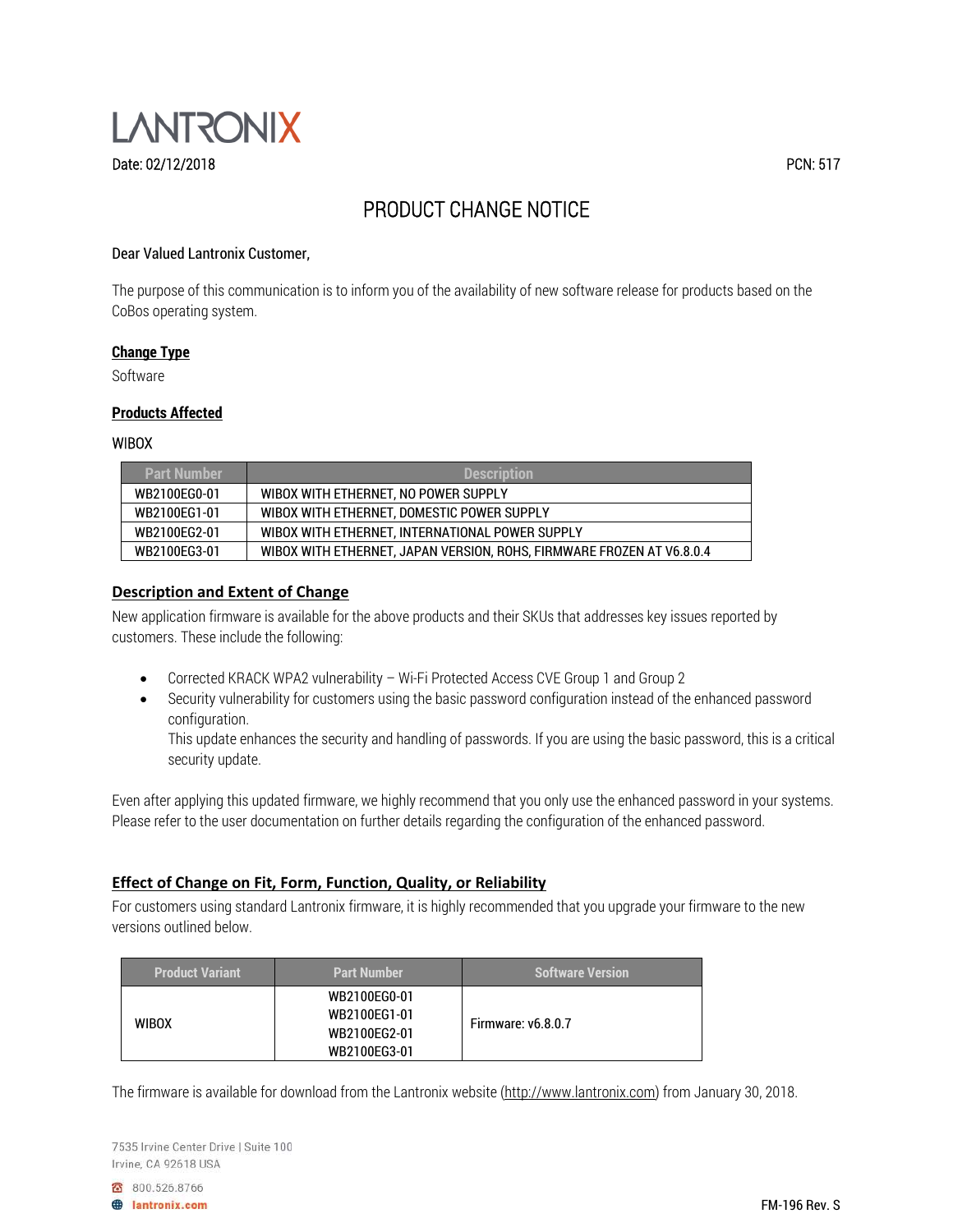

# PRODUCT CHANGE NOTICE

### Dear Valued Lantronix Customer,

The purpose of this communication is to inform you of the availability of new software release for products based on the CoBos operating system.

#### **Change Type**

Software

#### **Products Affected**

#### WIBOX

| <b>Part Number</b> | <b>Description</b>                                                    |  |
|--------------------|-----------------------------------------------------------------------|--|
| WB2100EG0-01       | WIBOX WITH ETHERNET. NO POWER SUPPLY                                  |  |
| WB2100EG1-01       | WIBOX WITH ETHERNET. DOMESTIC POWER SUPPLY                            |  |
| WB2100EG2-01       | WIBOX WITH ETHERNET, INTERNATIONAL POWER SUPPLY                       |  |
| WB2100EG3-01       | WIBOX WITH ETHERNET, JAPAN VERSION, ROHS, FIRMWARE FROZEN AT V6.8.0.4 |  |

#### **Description and Extent of Change**

New application firmware is available for the above products and their SKUs that addresses key issues reported by customers. These include the following:

- Corrected KRACK WPA2 vulnerability Wi-Fi Protected Access CVE Group 1 and Group 2
- Security vulnerability for customers using the basic password configuration instead of the enhanced password configuration.

This update enhances the security and handling of passwords. If you are using the basic password, this is a critical security update.

Even after applying this updated firmware, we highly recommend that you only use the enhanced password in your systems. Please refer to the user documentation on further details regarding the configuration of the enhanced password.

## **Effect of Change on Fit, Form, Function, Quality, or Reliability**

For customers using standard Lantronix firmware, it is highly recommended that you upgrade your firmware to the new versions outlined below.

| <b>Product Variant</b> | <b>Part Number</b> | <b>Software Version</b>   |
|------------------------|--------------------|---------------------------|
|                        | WB2100EG0-01       |                           |
| <b>WIBOX</b>           | WB2100EG1-01       | <b>Firmware: v6.8.0.7</b> |
|                        | WB2100EG2-01       |                           |
|                        | WB2100EG3-01       |                           |

The firmware is available for download from the Lantronix website (http://www.lantronix.com) from January 30, 2018.

7535 Irvine Center Drive | Suite 100 Irvine, CA 92618 USA

8 800.526.8766

**A** lantronix.com